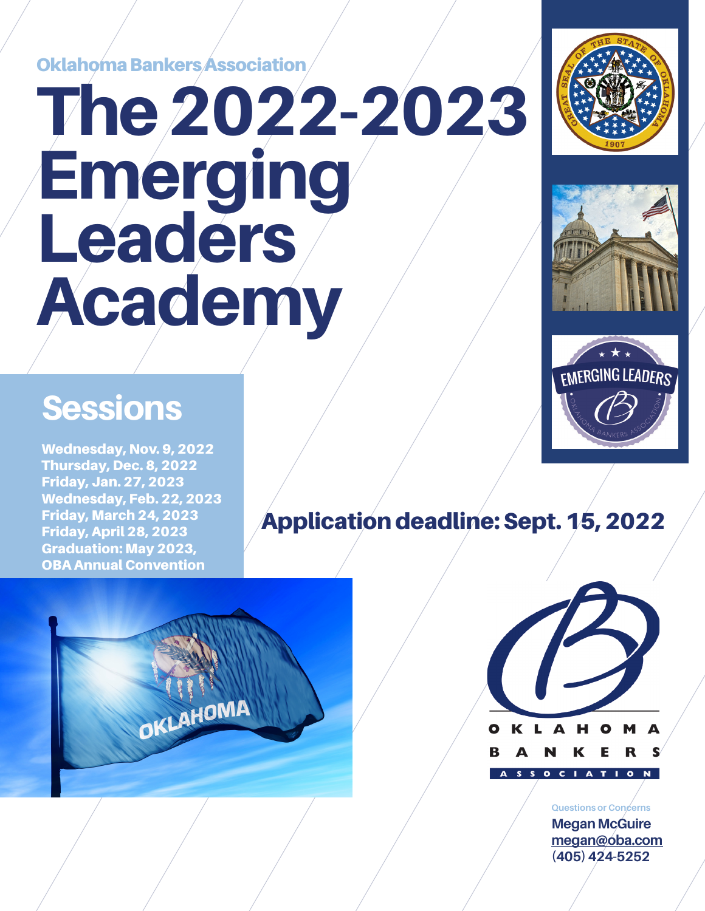Oklahoma Bankers Association

# The 2022-2023 Emerging **Leaders** Academy

## Sessions

Wednesday, Nov. 9, 2022 Thursday, Dec. 8, 2022 Friday, Jan. 27, 2023 Wednesday, Feb. 22, 2023 Friday, March 24, 2023 Friday, April 28, 2023 Graduation: May 2023, OBA Annual Convention

### Application deadline: Sept. 15, 2022





**Questions or Concerns Megan McGuire megan@oba.com (405) 424-5252**





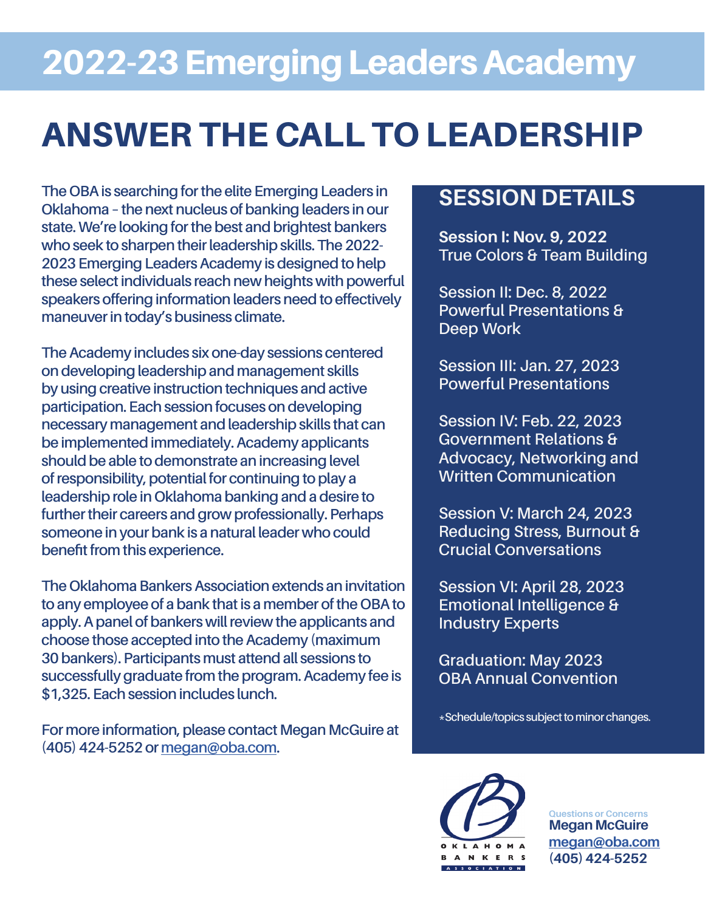# 2022-23 Emerging Leaders Academy

# ANSWER THE CALL TO LEADERSHIP

**The OBA is searching for the elite Emerging Leaders in Oklahoma – the next nucleus of banking leaders in our state. We're looking for the best and brightest bankers who seek to sharpen their leadership skills. The 2022- 2023 Emerging Leaders Academy is designed to help these select individuals reach new heights with powerful speakers offering information leaders need to effectively maneuver in today's business climate.** 

**The Academy includes six one-day sessions centered on developing leadership and management skills by using creative instruction techniques and active participation. Each session focuses on developing necessary management and leadership skills that can be implemented immediately. Academy applicants should be able to demonstrate an increasing level of responsibility, potential for continuing to play a leadership role in Oklahoma banking and a desire to further their careers and grow professionally. Perhaps someone in your bank is a natural leader who could benefit from this experience.** 

**The Oklahoma Bankers Association extends an invitation to any employee of a bank that is a member of the OBA to apply. A panel of bankers will review the applicants and choose those accepted into the Academy (maximum 30 bankers). Participants must attend all sessions to successfully graduate from the program. Academy fee is \$1,325. Each session includes lunch.** 

**For more information, please contact Megan McGuire at (405) 424-5252 or megan@oba.com.**

### **SESSION DETAILS**

**Session I: Nov. 9, 2022 True Colors & Team Building**

**Session II: Dec. 8, 2022 Powerful Presentations & Deep Work**

**Session III: Jan. 27, 2023 Powerful Presentations** 

**Session IV: Feb. 22, 2023 Government Relations & Advocacy, Networking and Written Communication**

**Session V: March 24, 2023 Reducing Stress, Burnout & Crucial Conversations** 

**Session VI: April 28, 2023 Emotional Intelligence & Industry Experts**

**Graduation: May 2023 OBA Annual Convention** 

**\*Schedule/topics subject to minor changes.** 



**Questions or Concerns Megan McGuire megan@oba.com (405) 424-5252**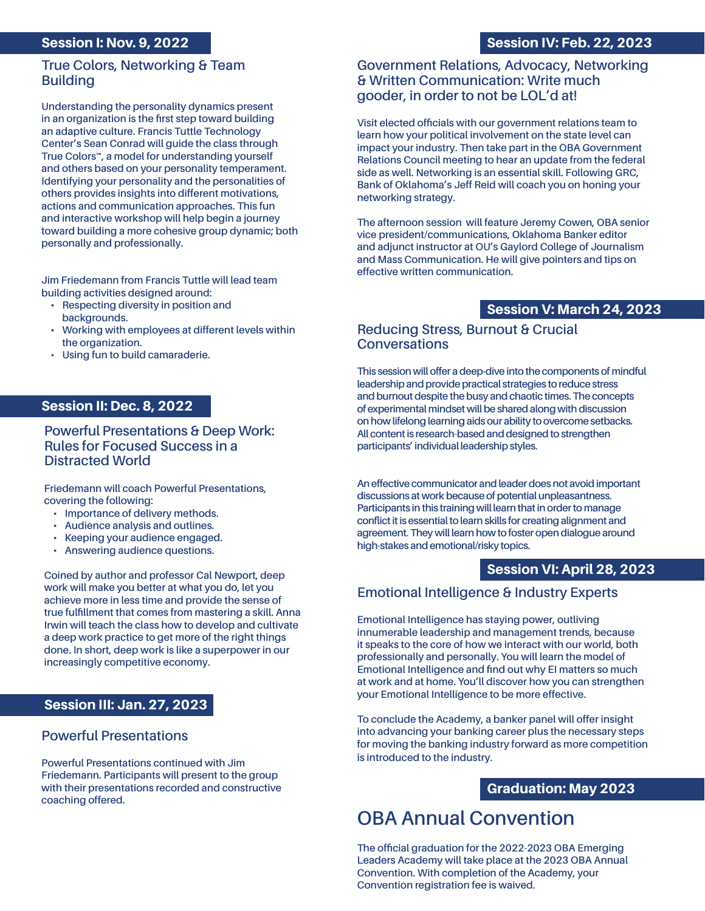#### Session I: Nov. 9, 2022

#### Session IV: Feb. 22, 2023

#### **True Colors, Networking & Team Building**

**Understanding the personality dynamics present in an organization is the first step toward building an adaptive culture. Francis Tuttle Technology Center's Sean Conrad will guide the class through True Colors™, a model for understanding yourself and others based on your personality temperament. Identifying your personality and the personalities of others provides insights into different motivations, actions and communication approaches. This fun and interactive workshop will help begin a journey toward building a more cohesive group dynamic; both personally and professionally.**

**Jim Friedemann from Francis Tuttle will lead team building activities designed around:** 

- **• Respecting diversity in position and backgrounds.**
- **• Working with employees at different levels within the organization.**
- **• Using fun to build camaraderie.**

#### Session II: Dec. 8, 2022

#### **Powerful Presentations & Deep Work: Rules for Focused Success in a Distracted World**

**Friedemann will coach Powerful Presentations, covering the following:** 

- **• Importance of delivery methods.**
- **• Audience analysis and outlines.**
- **• Keeping your audience engaged.**
- **• Answering audience questions.**

**Coined by author and professor Cal Newport, deep work will make you better at what you do, let you achieve more in less time and provide the sense of true fulfillment that comes from mastering a skill. Anna Irwin will teach the class how to develop and cultivate a deep work practice to get more of the right things done. In short, deep work is like a superpower in our increasingly competitive economy.** 

#### Session III: Jan. 27, 2023

#### **Powerful Presentations**

**Powerful Presentations continued with Jim Friedemann. Participants will present to the group with their presentations recorded and constructive coaching offered.** 

#### **Government Relations, Advocacy, Networking & Written Communication: Write much gooder, in order to not be LOL'd at!**

**Visit elected officials with our government relations team to learn how your political involvement on the state level can impact your industry. Then take part in the OBA Government Relations Council meeting to hear an update from the federal side as well. Networking is an essential skill. Following GRC, Bank of Oklahoma's Jeff Reid will coach you on honing your networking strategy.**

**The afternoon session will feature Jeremy Cowen, OBA senior vice president/communications, Oklahoma Banker editor and adjunct instructor at OU's Gaylord College of Journalism and Mass Communication. He will give pointers and tips on effective written communication.**

#### Session V: March 24, 2023

#### **Reducing Stress, Burnout & Crucial Conversations**

**This session will offer a deep-dive into the components of mindful leadership and provide practical strategies to reduce stress and burnout despite the busy and chaotic times. The concepts of experimental mindset will be shared along with discussion on how lifelong learning aids our ability to overcome setbacks. All content is research-based and designed to strengthen participants' individual leadership styles.**

**An effective communicator and leader does not avoid important discussions at work because of potential unpleasantness. Participants in this training will learn that in order to manage conflict it is essential to learn skills for creating alignment and agreement. They will learn how to foster open dialogue around high-stakes and emotional/risky topics.**

#### Session VI: April 28, 2023

#### **Emotional Intelligence & Industry Experts**

**Emotional Intelligence has staying power, outliving innumerable leadership and management trends, because it speaks to the core of how we interact with our world, both professionally and personally. You will learn the model of Emotional Intelligence and find out why EI matters so much at work and at home. You'll discover how you can strengthen your Emotional Intelligence to be more effective.**

**To conclude the Academy, a banker panel will offer insight into advancing your banking career plus the necessary steps for moving the banking industry forward as more competition is introduced to the industry.** 

#### Graduation: May 2023

### **OBA Annual Convention**

**The official graduation for the 2022-2023 OBA Emerging Leaders Academy will take place at the 2023 OBA Annual Convention. With completion of the Academy, your Convention registration fee is waived.**